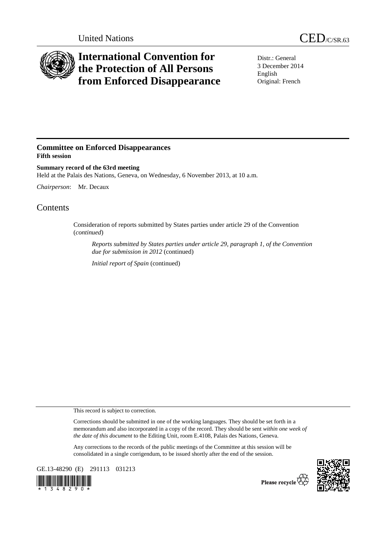

## **International Convention for the Protection of All Persons from Enforced Disappearance**

Distr.: General 3 December 2014 English Original: French

## **Committee on Enforced Disappearances Fifth session**

**Summary record of the 63rd meeting**  Held at the Palais des Nations, Geneva, on Wednesday, 6 November 2013, at 10 a.m.

*Chairperson*: Mr. Decaux

## Contents

Consideration of reports submitted by States parties under article 29 of the Convention (*continued*)

*Reports submitted by States parties under article 29, paragraph 1, of the Convention due for submission in 2012* (continued)

*Initial report of Spain* (continued)

This record is subject to correction.

Corrections should be submitted in one of the working languages. They should be set forth in a memorandum and also incorporated in a copy of the record. They should be sent *within one week of the date of this document* to the Editing Unit, room E.4108, Palais des Nations, Geneva.

Any corrections to the records of the public meetings of the Committee at this session will be consolidated in a single corrigendum, to be issued shortly after the end of the session.

GE.13-48290 (E) 291113 031213





Please recycle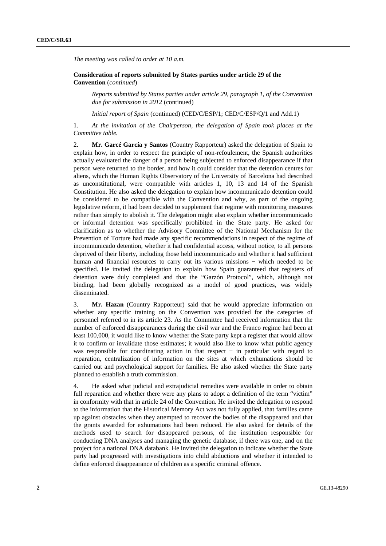*The meeting was called to order at 10 a.m.* 

 **Consideration of reports submitted by States parties under article 29 of the Convention** (*continued*)

*Reports submitted by States parties under article 29, paragraph 1, of the Convention due for submission in 2012* (continued)

*Initial report of Spain* (continued) (CED/C/ESP/1; CED/C/ESP/Q/1 and Add.1)

1. *At the invitation of the Chairperson, the delegation of Spain took places at the Committee table.* 

2. **Mr. Garcé García y Santos** (Country Rapporteur) asked the delegation of Spain to explain how, in order to respect the principle of non-refoulement, the Spanish authorities actually evaluated the danger of a person being subjected to enforced disappearance if that person were returned to the border, and how it could consider that the detention centres for aliens, which the Human Rights Observatory of the University of Barcelona had described as unconstitutional, were compatible with articles 1, 10, 13 and 14 of the Spanish Constitution. He also asked the delegation to explain how incommunicado detention could be considered to be compatible with the Convention and why, as part of the ongoing legislative reform, it had been decided to supplement that regime with monitoring measures rather than simply to abolish it. The delegation might also explain whether incommunicado or informal detention was specifically prohibited in the State party. He asked for clarification as to whether the Advisory Committee of the National Mechanism for the Prevention of Torture had made any specific recommendations in respect of the regime of incommunicado detention, whether it had confidential access, without notice, to all persons deprived of their liberty, including those held incommunicado and whether it had sufficient human and financial resources to carry out its various missions − which needed to be specified. He invited the delegation to explain how Spain guaranteed that registers of detention were duly completed and that the "Garzón Protocol", which, although not binding, had been globally recognized as a model of good practices, was widely disseminated.

3. **Mr. Hazan** (Country Rapporteur) said that he would appreciate information on whether any specific training on the Convention was provided for the categories of personnel referred to in its article 23. As the Committee had received information that the number of enforced disappearances during the civil war and the Franco regime had been at least 100,000, it would like to know whether the State party kept a register that would allow it to confirm or invalidate those estimates; it would also like to know what public agency was responsible for coordinating action in that respect  $-$  in particular with regard to reparation, centralization of information on the sites at which exhumations should be carried out and psychological support for families. He also asked whether the State party planned to establish a truth commission.

4. He asked what judicial and extrajudicial remedies were available in order to obtain full reparation and whether there were any plans to adopt a definition of the term "victim" in conformity with that in article 24 of the Convention. He invited the delegation to respond to the information that the Historical Memory Act was not fully applied, that families came up against obstacles when they attempted to recover the bodies of the disappeared and that the grants awarded for exhumations had been reduced. He also asked for details of the methods used to search for disappeared persons, of the institution responsible for conducting DNA analyses and managing the genetic database, if there was one, and on the project for a national DNA databank. He invited the delegation to indicate whether the State party had progressed with investigations into child abductions and whether it intended to define enforced disappearance of children as a specific criminal offence.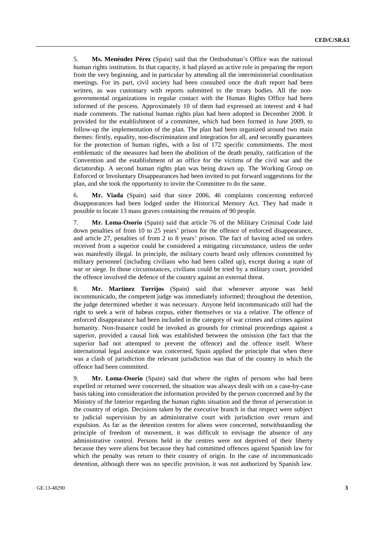5. **Ms. Menéndez Pérez** (Spain) said that the Ombudsman's Office was the national human rights institution. In that capacity, it had played an active role in preparing the report from the very beginning, and in particular by attending all the interministerial coordination meetings. For its part, civil society had been consulted once the draft report had been written, as was customary with reports submitted to the treaty bodies. All the nongovernmental organizations in regular contact with the Human Rights Office had been informed of the process. Approximately 10 of them had expressed an interest and 4 had made comments. The national human rights plan had been adopted in December 2008. It provided for the establishment of a committee, which had been formed in June 2009, to follow-up the implementation of the plan. The plan had been organized around two main themes: firstly, equality, non-discrimination and integration for all, and secondly guarantees for the protection of human rights, with a list of 172 specific commitments. The most emblematic of the measures had been the abolition of the death penalty, ratification of the Convention and the establishment of an office for the victims of the civil war and the dictatorship. A second human rights plan was being drawn up. The Working Group on Enforced or Involuntary Disappearances had been invited to put forward suggestions for the plan, and she took the opportunity to invite the Committee to do the same.

6. **Mr. Viada** (Spain) said that since 2006, 46 complaints concerning enforced disappearances had been lodged under the Historical Memory Act. They had made it possible to locate 13 mass graves containing the remains of 90 people.

7. **Mr. Loma-Osorio** (Spain) said that article 76 of the Military Criminal Code laid down penalties of from 10 to 25 years' prison for the offence of enforced disappearance, and article 27, penalties of from 2 to 8 years' prison. The fact of having acted on orders received from a superior could be considered a mitigating circumstance, unless the order was manifestly illegal. In principle, the military courts heard only offences committed by military personnel (including civilians who had been called up), except during a state of war or siege. In those circumstances, civilians could be tried by a military court, provided the offence involved the defence of the country against an external threat.

8. **Mr. Martinez Torrijos** (Spain) said that whenever anyone was held incommunicado, the competent judge was immediately informed; throughout the detention, the judge determined whether it was necessary. Anyone held incommunicado still had the right to seek a writ of habeas corpus, either themselves or via a relative. The offence of enforced disappearance had been included in the category of war crimes and crimes against humanity. Non-feasance could be invoked as grounds for criminal proceedings against a superior, provided a causal link was established between the omission (the fact that the superior had not attempted to prevent the offence) and the offence itself. Where international legal assistance was concerned, Spain applied the principle that when there was a clash of jurisdiction the relevant jurisdiction was that of the country in which the offence had been committed.

9. **Mr. Loma-Osorio** (Spain) said that where the rights of persons who had been expelled or returned were concerned, the situation was always dealt with on a case-by-case basis taking into consideration the information provided by the person concerned and by the Ministry of the Interior regarding the human rights situation and the threat of persecution in the country of origin. Decisions taken by the executive branch in that respect were subject to judicial supervision by an administrative court with jurisdiction over return and expulsion. As far as the detention centres for aliens were concerned, notwithstanding the principle of freedom of movement, it was difficult to envisage the absence of any administrative control. Persons held in the centres were not deprived of their liberty because they were aliens but because they had committed offences against Spanish law for which the penalty was return to their country of origin. In the case of incommunicado detention, although there was no specific provision, it was not authorized by Spanish law.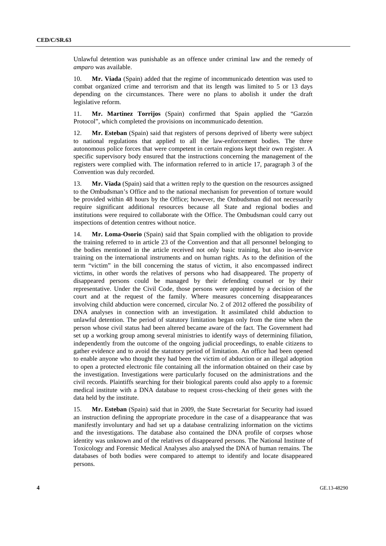Unlawful detention was punishable as an offence under criminal law and the remedy of *amparo* was available.

10. **Mr. Viada** (Spain) added that the regime of incommunicado detention was used to combat organized crime and terrorism and that its length was limited to 5 or 13 days depending on the circumstances. There were no plans to abolish it under the draft legislative reform.

11. **Mr. Martinez Torrijos** (Spain) confirmed that Spain applied the "Garzón Protocol", which completed the provisions on incommunicado detention.

12. **Mr. Esteban** (Spain) said that registers of persons deprived of liberty were subject to national regulations that applied to all the law-enforcement bodies. The three autonomous police forces that were competent in certain regions kept their own register. A specific supervisory body ensured that the instructions concerning the management of the registers were complied with. The information referred to in article 17, paragraph 3 of the Convention was duly recorded.

13. **Mr. Viada** (Spain) said that a written reply to the question on the resources assigned to the Ombudsman's Office and to the national mechanism for prevention of torture would be provided within 48 hours by the Office; however, the Ombudsman did not necessarily require significant additional resources because all State and regional bodies and institutions were required to collaborate with the Office. The Ombudsman could carry out inspections of detention centres without notice.

14. **Mr. Loma-Osorio** (Spain) said that Spain complied with the obligation to provide the training referred to in article 23 of the Convention and that all personnel belonging to the bodies mentioned in the article received not only basic training, but also in-service training on the international instruments and on human rights. As to the definition of the term "victim" in the bill concerning the status of victim, it also encompassed indirect victims, in other words the relatives of persons who had disappeared. The property of disappeared persons could be managed by their defending counsel or by their representative. Under the Civil Code, those persons were appointed by a decision of the court and at the request of the family. Where measures concerning disappearances involving child abduction were concerned, circular No. 2 of 2012 offered the possibility of DNA analyses in connection with an investigation. It assimilated child abduction to unlawful detention. The period of statutory limitation began only from the time when the person whose civil status had been altered became aware of the fact. The Government had set up a working group among several ministries to identify ways of determining filiation, independently from the outcome of the ongoing judicial proceedings, to enable citizens to gather evidence and to avoid the statutory period of limitation. An office had been opened to enable anyone who thought they had been the victim of abduction or an illegal adoption to open a protected electronic file containing all the information obtained on their case by the investigation. Investigations were particularly focused on the administrations and the civil records. Plaintiffs searching for their biological parents could also apply to a forensic medical institute with a DNA database to request cross-checking of their genes with the data held by the institute.

15. **Mr. Esteban** (Spain) said that in 2009, the State Secretariat for Security had issued an instruction defining the appropriate procedure in the case of a disappearance that was manifestly involuntary and had set up a database centralizing information on the victims and the investigations. The database also contained the DNA profile of corpses whose identity was unknown and of the relatives of disappeared persons. The National Institute of Toxicology and Forensic Medical Analyses also analysed the DNA of human remains. The databases of both bodies were compared to attempt to identify and locate disappeared persons.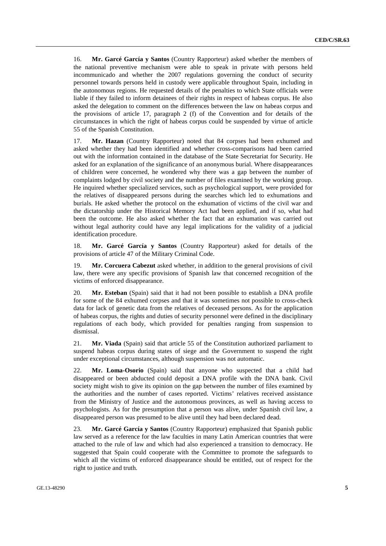16. **Mr. Garcé García y Santos** (Country Rapporteur) asked whether the members of the national preventive mechanism were able to speak in private with persons held incommunicado and whether the 2007 regulations governing the conduct of security personnel towards persons held in custody were applicable throughout Spain, including in the autonomous regions. He requested details of the penalties to which State officials were liable if they failed to inform detainees of their rights in respect of habeas corpus. He also asked the delegation to comment on the differences between the law on habeas corpus and the provisions of article 17, paragraph 2 (f) of the Convention and for details of the circumstances in which the right of habeas corpus could be suspended by virtue of article 55 of the Spanish Constitution.

17. **Mr. Hazan** (Country Rapporteur) noted that 84 corpses had been exhumed and asked whether they had been identified and whether cross-comparisons had been carried out with the information contained in the database of the State Secretariat for Security. He asked for an explanation of the significance of an anonymous burial. Where disappearances of children were concerned, he wondered why there was a gap between the number of complaints lodged by civil society and the number of files examined by the working group. He inquired whether specialized services, such as psychological support, were provided for the relatives of disappeared persons during the searches which led to exhumations and burials. He asked whether the protocol on the exhumation of victims of the civil war and the dictatorship under the Historical Memory Act had been applied, and if so, what had been the outcome. He also asked whether the fact that an exhumation was carried out without legal authority could have any legal implications for the validity of a judicial identification procedure.

18. **Mr. Garcé García y Santos** (Country Rapporteur) asked for details of the provisions of article 47 of the Military Criminal Code.

19. **Mr. Corcuera Cabezut** asked whether, in addition to the general provisions of civil law, there were any specific provisions of Spanish law that concerned recognition of the victims of enforced disappearance.

20. **Mr. Esteban** (Spain) said that it had not been possible to establish a DNA profile for some of the 84 exhumed corpses and that it was sometimes not possible to cross-check data for lack of genetic data from the relatives of deceased persons. As for the application of habeas corpus, the rights and duties of security personnel were defined in the disciplinary regulations of each body, which provided for penalties ranging from suspension to dismissal.

21. **Mr. Viada** (Spain) said that article 55 of the Constitution authorized parliament to suspend habeas corpus during states of siege and the Government to suspend the right under exceptional circumstances, although suspension was not automatic.

22. **Mr. Loma-Osorio** (Spain) said that anyone who suspected that a child had disappeared or been abducted could deposit a DNA profile with the DNA bank. Civil society might wish to give its opinion on the gap between the number of files examined by the authorities and the number of cases reported. Victims' relatives received assistance from the Ministry of Justice and the autonomous provinces, as well as having access to psychologists. As for the presumption that a person was alive, under Spanish civil law, a disappeared person was presumed to be alive until they had been declared dead.

23. **Mr. Garcé García y Santos** (Country Rapporteur) emphasized that Spanish public law served as a reference for the law faculties in many Latin American countries that were attached to the rule of law and which had also experienced a transition to democracy. He suggested that Spain could cooperate with the Committee to promote the safeguards to which all the victims of enforced disappearance should be entitled, out of respect for the right to justice and truth.